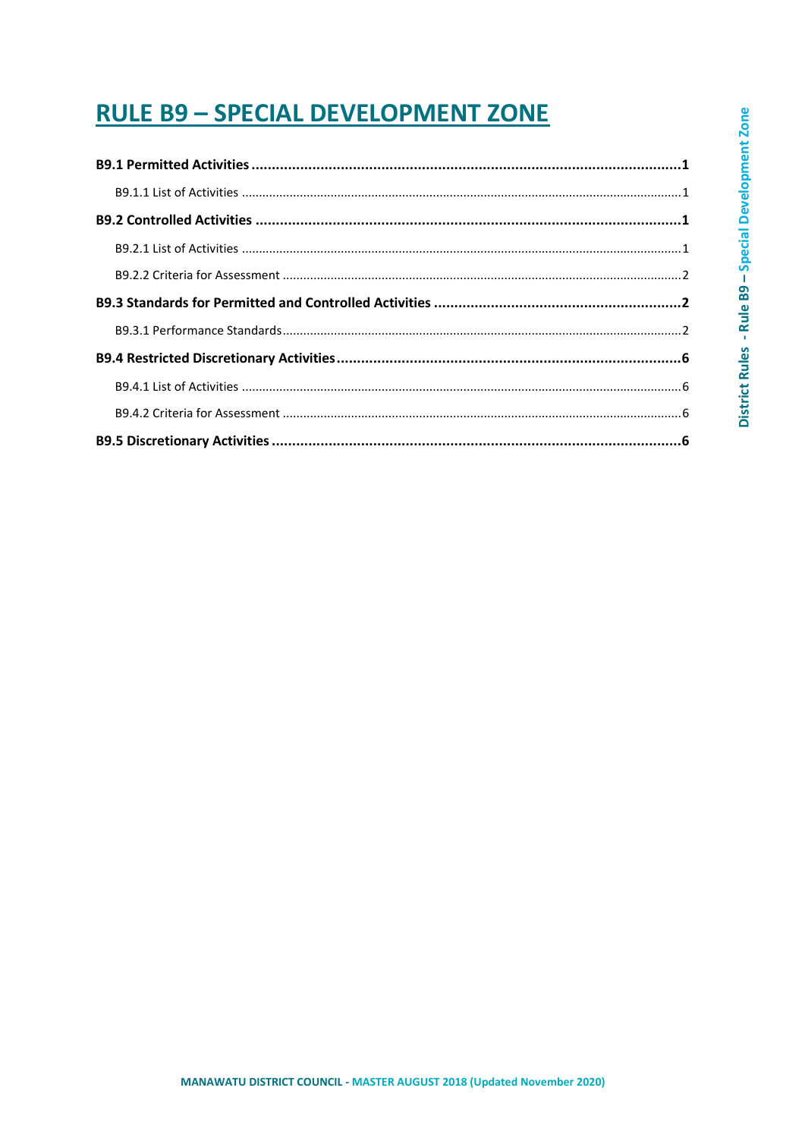# **RULE B9 - SPECIAL DEVELOPMENT ZONE**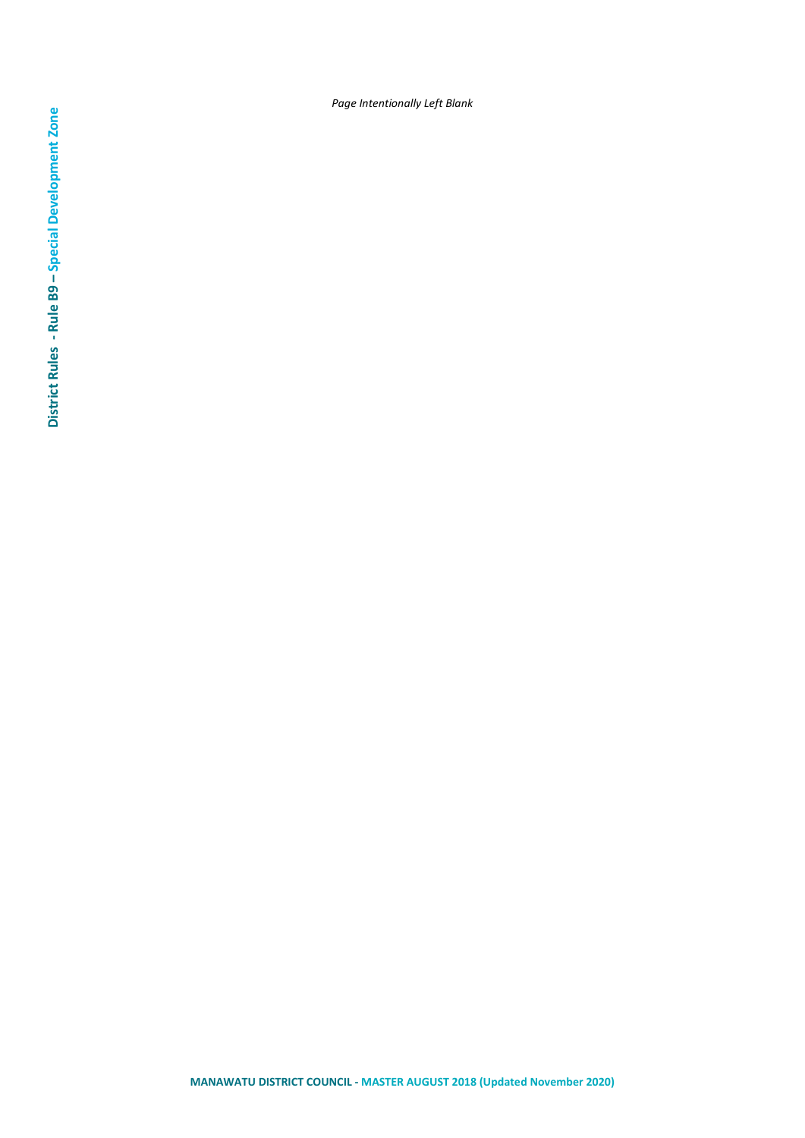*Page Intentionally Left Blank*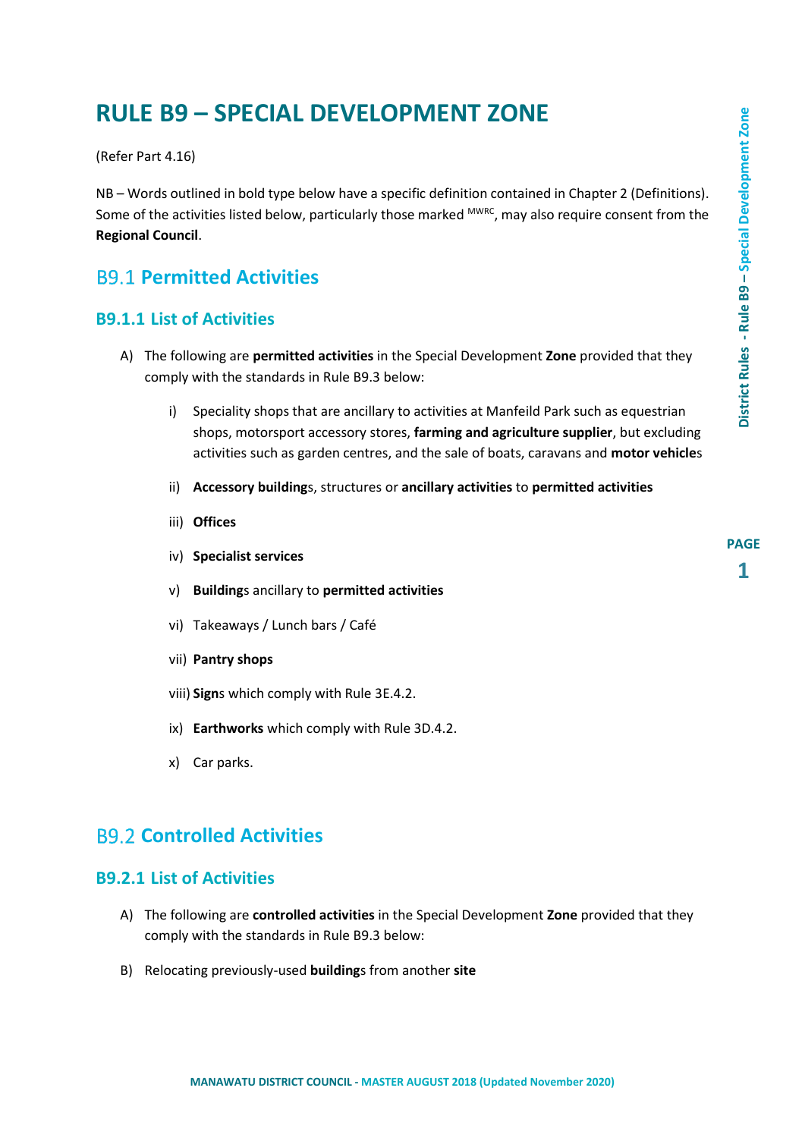# **RULE B9 – SPECIAL DEVELOPMENT ZONE**

(Refer Part 4.16)

NB – Words outlined in bold type below have a specific definition contained in Chapter 2 (Definitions). Some of the activities listed below, particularly those marked MWRC, may also require consent from the **Regional Council**.

# <span id="page-2-0"></span>**Permitted Activities**

### <span id="page-2-1"></span>**B9.1.1 List of Activities**

- A) The following are **permitted activities** in the Special Development **Zone** provided that they comply with the standards in Rule B9.3 below:
	- i) Speciality shops that are ancillary to activities at Manfeild Park such as equestrian shops, motorsport accessory stores, **farming and agriculture supplier**, but excluding activities such as garden centres, and the sale of boats, caravans and **motor vehicle**s
	- ii) **Accessory building**s, structures or **ancillary activities** to **permitted activities**
	- iii) **Offices**
	- iv) **Specialist services**
	- v) **Building**s ancillary to **permitted activities**
	- vi) Takeaways / Lunch bars / Café
	- vii) **Pantry shops**
	- viii) **Sign**s which comply with Rule 3E.4.2.
	- ix) **Earthworks** which comply with Rule 3D.4.2.
	- x) Car parks.

# <span id="page-2-2"></span>**B9.2 Controlled Activities**

### <span id="page-2-3"></span>**B9.2.1 List of Activities**

- A) The following are **controlled activities** in the Special Development **Zone** provided that they comply with the standards in Rule B9.3 below:
- B) Relocating previously-used **building**s from another **site**

**PAGE 1**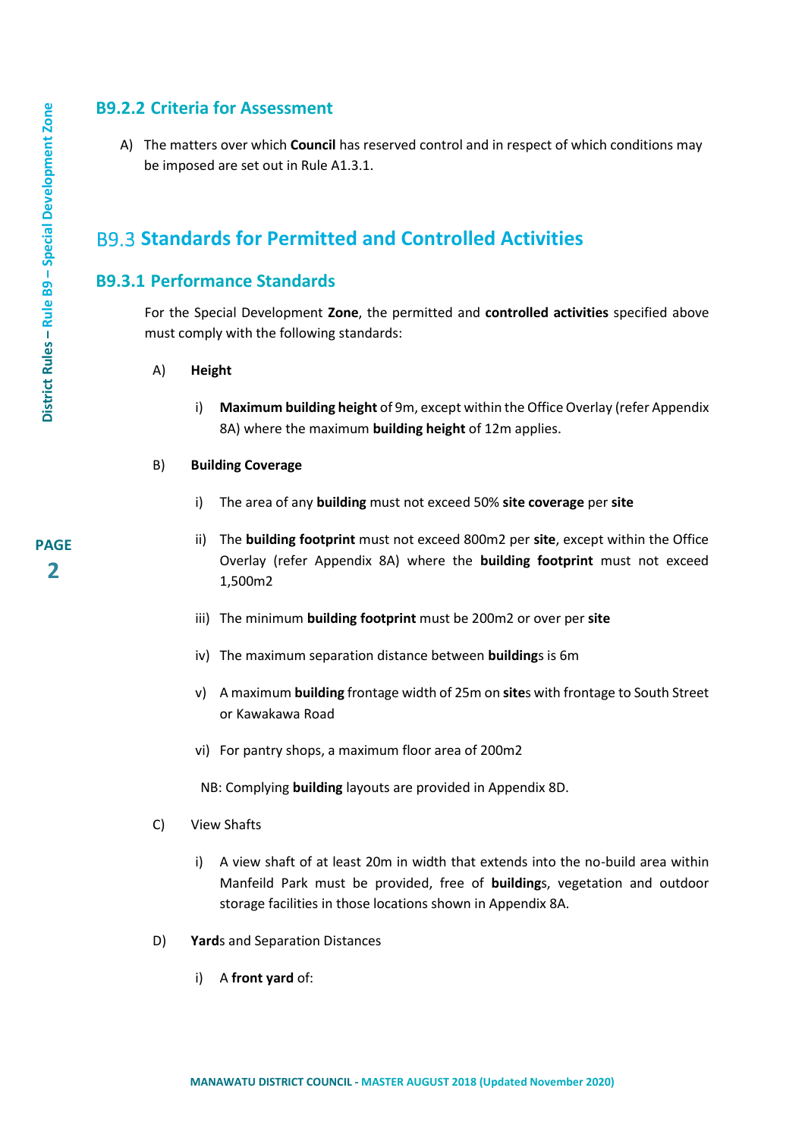## <span id="page-3-0"></span>**B9.2.2 Criteria for Assessment**

A) The matters over which **Council** has reserved control and in respect of which conditions may be imposed are set out in Rule A1.3.1.

# <span id="page-3-1"></span>**Standards for Permitted and Controlled Activities**

### <span id="page-3-2"></span>**B9.3.1 Performance Standards**

For the Special Development **Zone**, the permitted and **controlled activities** specified above must comply with the following standards:

#### A) **Height**

i) **Maximum building height** of 9m, except within the Office Overlay (refer Appendix 8A) where the maximum **building height** of 12m applies.

#### B) **Building Coverage**

- i) The area of any **building** must not exceed 50% **site coverage** per **site**
- ii) The **building footprint** must not exceed 800m2 per **site**, except within the Office Overlay (refer Appendix 8A) where the **building footprint** must not exceed 1,500m2
- iii) The minimum **building footprint** must be 200m2 or over per **site**
- iv) The maximum separation distance between **building**s is 6m
- v) A maximum **building** frontage width of 25m on **site**s with frontage to South Street or Kawakawa Road
- vi) For pantry shops, a maximum floor area of 200m2

NB: Complying **building** layouts are provided in Appendix 8D.

- C) View Shafts
	- i) A view shaft of at least 20m in width that extends into the no-build area within Manfeild Park must be provided, free of **building**s, vegetation and outdoor storage facilities in those locations shown in Appendix 8A.
- D) **Yard**s and Separation Distances
	- i) A **front yard** of:

**PAGE**

 $\overline{\mathbf{2}}$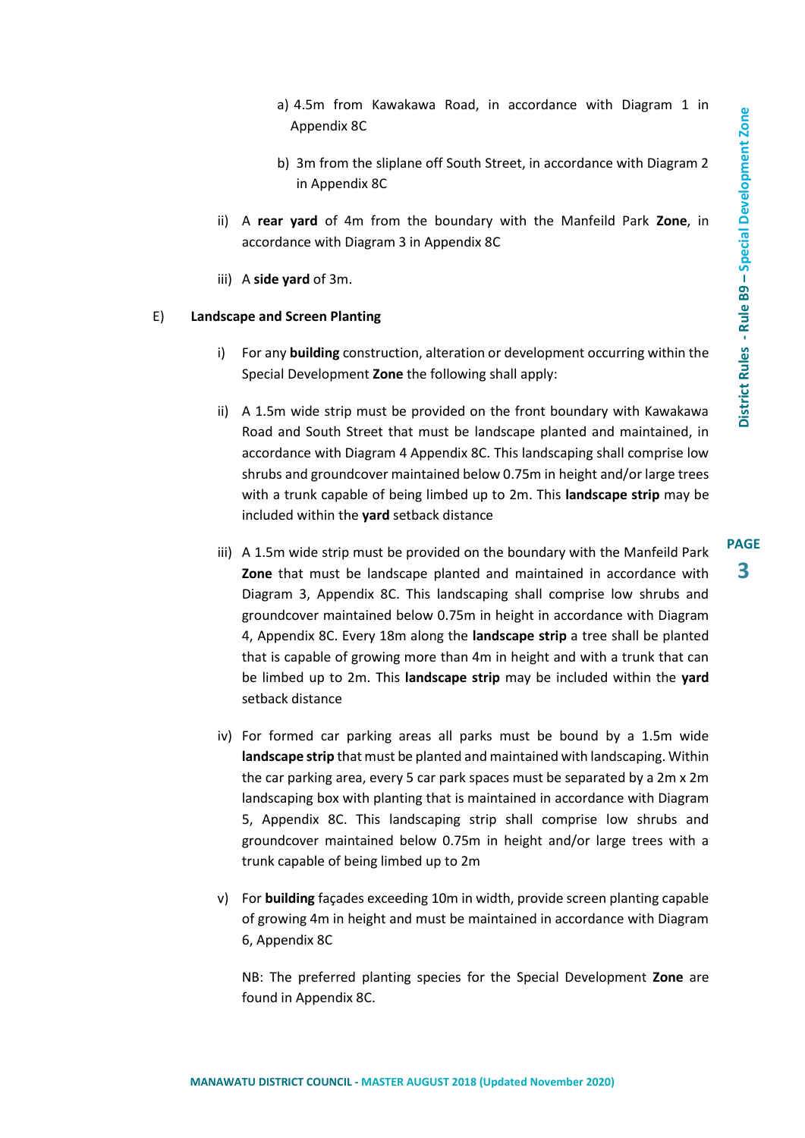- a) 4.5m from Kawakawa Road, in accordance with Diagram 1 in Appendix 8C
- b) 3m from the sliplane off South Street, in accordance with Diagram 2 in Appendix 8C
- ii) A **rear yard** of 4m from the boundary with the Manfeild Park **Zone**, in accordance with Diagram 3 in Appendix 8C
- iii) A **side yard** of 3m.

#### E) **Landscape and Screen Planting**

- i) For any **building** construction, alteration or development occurring within the Special Development **Zone** the following shall apply:
- ii) A 1.5m wide strip must be provided on the front boundary with Kawakawa Road and South Street that must be landscape planted and maintained, in accordance with Diagram 4 Appendix 8C. This landscaping shall comprise low shrubs and groundcover maintained below 0.75m in height and/or large trees with a trunk capable of being limbed up to 2m. This **landscape strip** may be included within the **yard** setback distance
- iii) A 1.5m wide strip must be provided on the boundary with the Manfeild Park **Zone** that must be landscape planted and maintained in accordance with Diagram 3, Appendix 8C. This landscaping shall comprise low shrubs and groundcover maintained below 0.75m in height in accordance with Diagram 4, Appendix 8C. Every 18m along the **landscape strip** a tree shall be planted that is capable of growing more than 4m in height and with a trunk that can be limbed up to 2m. This **landscape strip** may be included within the **yard** setback distance
- iv) For formed car parking areas all parks must be bound by a 1.5m wide **landscape strip** that must be planted and maintained with landscaping. Within the car parking area, every 5 car park spaces must be separated by a 2m x 2m landscaping box with planting that is maintained in accordance with Diagram 5, Appendix 8C. This landscaping strip shall comprise low shrubs and groundcover maintained below 0.75m in height and/or large trees with a trunk capable of being limbed up to 2m
- v) For **building** façades exceeding 10m in width, provide screen planting capable of growing 4m in height and must be maintained in accordance with Diagram 6, Appendix 8C

NB: The preferred planting species for the Special Development **Zone** are found in Appendix 8C.

# **PAGE 3**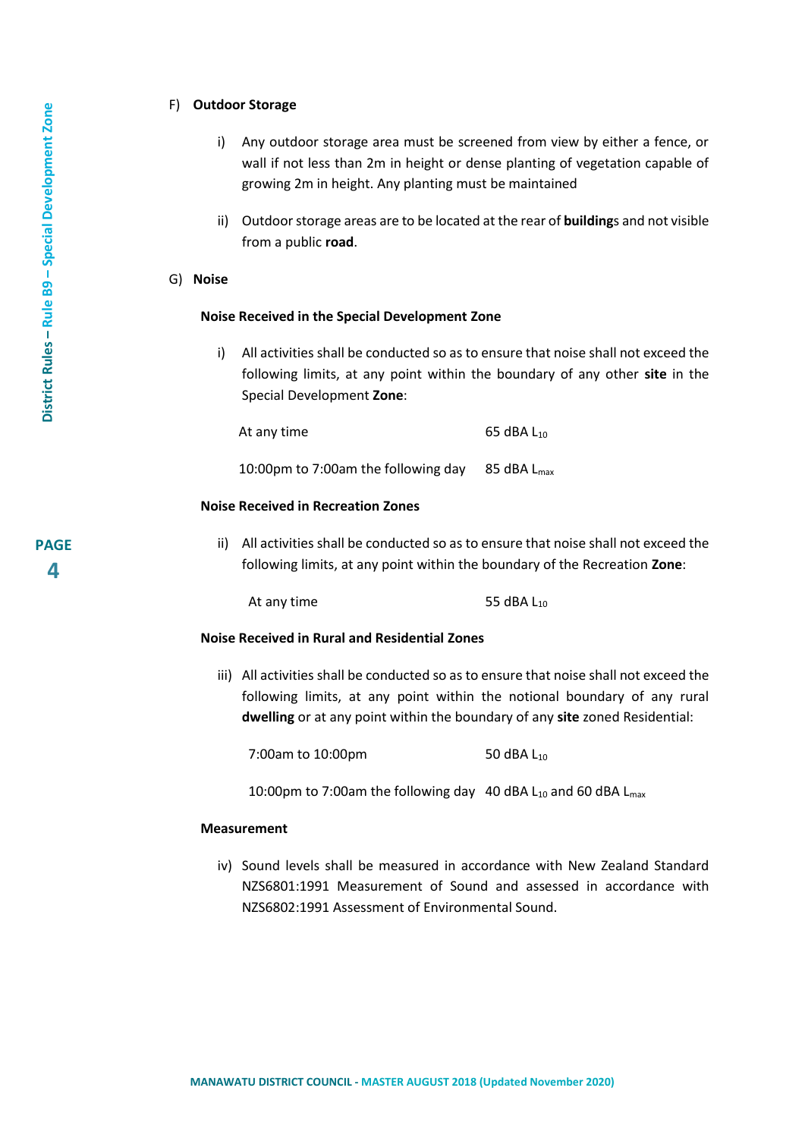#### F) **Outdoor Storage**

- i) Any outdoor storage area must be screened from view by either a fence, or wall if not less than 2m in height or dense planting of vegetation capable of growing 2m in height. Any planting must be maintained
- ii) Outdoor storage areas are to be located at the rear of **building**s and not visible from a public **road**.

#### G) **Noise**

#### **Noise Received in the Special Development Zone**

i) All activities shall be conducted so as to ensure that noise shall not exceed the following limits, at any point within the boundary of any other **site** in the Special Development **Zone**:

| At any time | 65 dBA $L_{10}$ |
|-------------|-----------------|
|             |                 |

10:00pm to 7:00am the following day  $85$  dBA L<sub>max</sub>

#### **Noise Received in Recreation Zones**

ii) All activities shall be conducted so as to ensure that noise shall not exceed the following limits, at any point within the boundary of the Recreation **Zone**:

At any time  $55 \text{ dBA } L_{10}$ 

#### **Noise Received in Rural and Residential Zones**

iii) All activities shall be conducted so as to ensure that noise shall not exceed the following limits, at any point within the notional boundary of any rural **dwelling** or at any point within the boundary of any **site** zoned Residential:

7:00am to  $10:00$ pm 50 dBA L<sub>10</sub>

10:00pm to 7:00am the following day 40 dBA  $L_{10}$  and 60 dBA  $L_{max}$ 

#### **Measurement**

iv) Sound levels shall be measured in accordance with New Zealand Standard NZS6801:1991 Measurement of Sound and assessed in accordance with NZS6802:1991 Assessment of Environmental Sound.

**PAGE**

4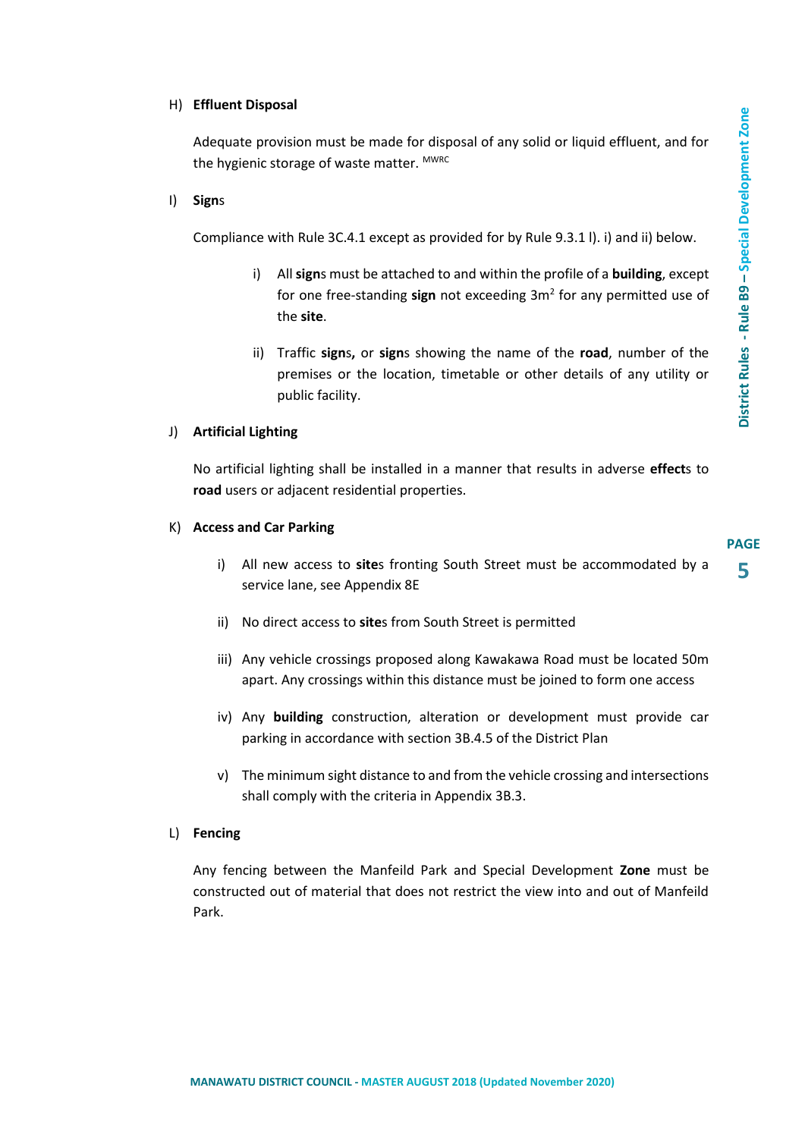#### H) **Effluent Disposal**

Adequate provision must be made for disposal of any solid or liquid effluent, and for the hygienic storage of waste matter. MWRC

#### I) **Sign**s

Compliance with Rule 3C.4.1 except as provided for by Rule 9.3.1 l). i) and ii) below.

- i) All **sign**s must be attached to and within the profile of a **building**, except for one free-standing sign not exceeding 3m<sup>2</sup> for any permitted use of the **site**.
- ii) Traffic **sign**s**,** or **sign**s showing the name of the **road**, number of the premises or the location, timetable or other details of any utility or public facility.

#### J) **Artificial Lighting**

No artificial lighting shall be installed in a manner that results in adverse **effect**s to **road** users or adjacent residential properties.

#### K) **Access and Car Parking**

- i) All new access to **site**s fronting South Street must be accommodated by a service lane, see Appendix 8E
- ii) No direct access to **site**s from South Street is permitted
- iii) Any vehicle crossings proposed along Kawakawa Road must be located 50m apart. Any crossings within this distance must be joined to form one access
- iv) Any **building** construction, alteration or development must provide car parking in accordance with section 3B.4.5 of the District Plan
- v) The minimum sight distance to and from the vehicle crossing and intersections shall comply with the criteria in Appendix 3B.3.

#### L) **Fencing**

Any fencing between the Manfeild Park and Special Development **Zone** must be constructed out of material that does not restrict the view into and out of Manfeild Park.

### **PAGE 5**